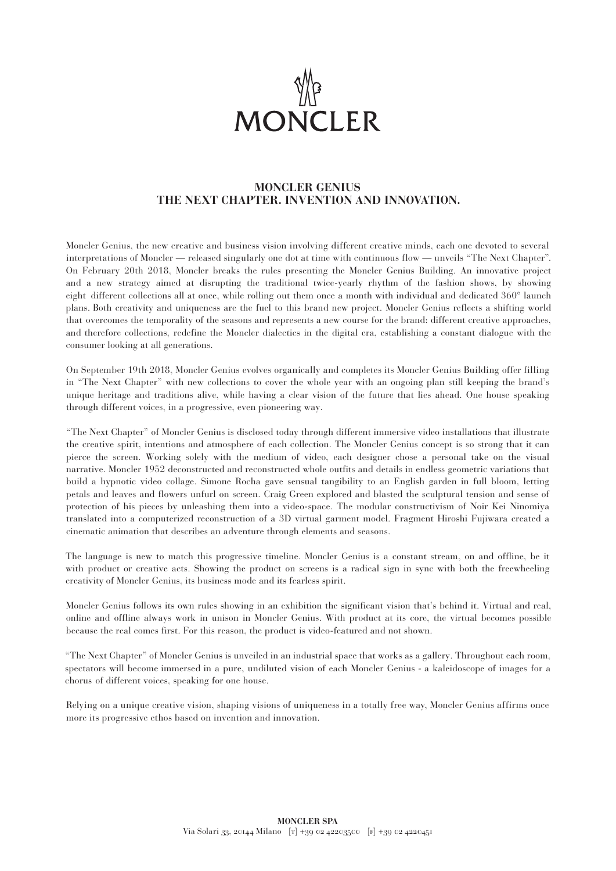

## **MONCLER GENIUS THE NEXT CHAPTER. INVENTION AND INNOVATION.**

Moncler Genius, the new creative and business vision involving different creative minds, each one devoted to several interpretations of Moncler — released singularly one dot at time with continuous flow — unveils "The Next Chapter". On February 20th 2018, Moncler breaks the rules presenting the Moncler Genius Building. An innovative project and a new strategy aimed at disrupting the traditional twice-yearly rhythm of the fashion shows, by showing eight different collections all at once, while rolling out them once a month with individual and dedicated 360° launch plans. Both creativity and uniqueness are the fuel to this brand new project. Moncler Genius reflects a shifting world that overcomes the temporality of the seasons and represents a new course for the brand: different creative approaches, and therefore collections, redefine the Moncler dialectics in the digital era, establishing a constant dialogue with the consumer looking at all generations.

On September 19th 2018, Moncler Genius evolves organically and completes its Moncler Genius Building offer filling in "The Next Chapter" with new collections to cover the whole year with an ongoing plan still keeping the brand's unique heritage and traditions alive, while having a clear vision of the future that lies ahead. One house speaking through different voices, in a progressive, even pioneering way.

"The Next Chapter" of Moncler Genius is disclosed today through different immersive video installations that illustrate the creative spirit, intentions and atmosphere of each collection. The Moncler Genius concept is so strong that it can pierce the screen. Working solely with the medium of video, each designer chose a personal take on the visual narrative. Moncler 1952 deconstructed and reconstructed whole outfits and details in endless geometric variations that build a hypnotic video collage. Simone Rocha gave sensual tangibility to an English garden in full bloom, letting petals and leaves and flowers unfurl on screen. Craig Green explored and blasted the sculptural tension and sense of protection of his pieces by unleashing them into a video-space. The modular constructivism of Noir Kei Ninomiya translated into a computerized reconstruction of a 3D virtual garment model. Fragment Hiroshi Fujiwara created a cinematic animation that describes an adventure through elements and seasons.

The language is new to match this progressive timeline. Moncler Genius is a constant stream, on and offline, be it with product or creative acts. Showing the product on screens is a radical sign in sync with both the freewheeling creativity of Moncler Genius, its business mode and its fearless spirit.

Moncler Genius follows its own rules showing in an exhibition the significant vision that's behind it. Virtual and real, online and offline always work in unison in Moncler Genius. With product at its core, the virtual becomes possible because the real comes first. For this reason, the product is video-featured and not shown.

"The Next Chapter" of Moncler Genius is unveiled in an industrial space that works as a gallery. Throughout each room, spectators will become immersed in a pure, undiluted vision of each Moncler Genius - a kaleidoscope of images for a chorus of different voices, speaking for one house.

Relying on a unique creative vision, shaping visions of uniqueness in a totally free way, Moncler Genius affirms once more its progressive ethos based on invention and innovation.